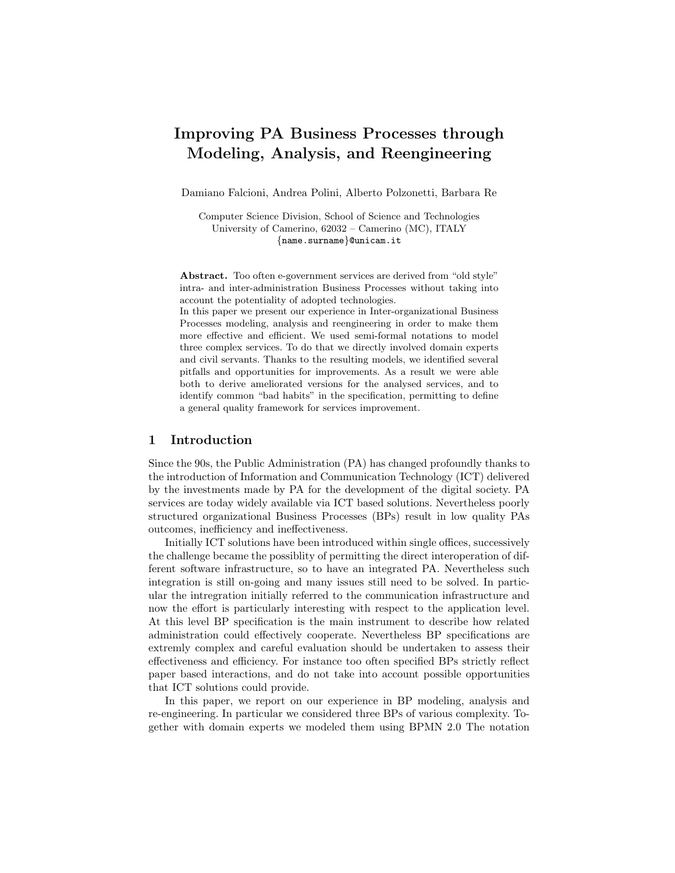# Improving PA Business Processes through Modeling, Analysis, and Reengineering

Damiano Falcioni, Andrea Polini, Alberto Polzonetti, Barbara Re

Computer Science Division, School of Science and Technologies University of Camerino, 62032 – Camerino (MC), ITALY {name.surname}@unicam.it

Abstract. Too often e-government services are derived from "old style" intra- and inter-administration Business Processes without taking into account the potentiality of adopted technologies.

In this paper we present our experience in Inter-organizational Business Processes modeling, analysis and reengineering in order to make them more effective and efficient. We used semi-formal notations to model three complex services. To do that we directly involved domain experts and civil servants. Thanks to the resulting models, we identified several pitfalls and opportunities for improvements. As a result we were able both to derive ameliorated versions for the analysed services, and to identify common "bad habits" in the specification, permitting to define a general quality framework for services improvement.

## 1 Introduction

Since the 90s, the Public Administration (PA) has changed profoundly thanks to the introduction of Information and Communication Technology (ICT) delivered by the investments made by PA for the development of the digital society. PA services are today widely available via ICT based solutions. Nevertheless poorly structured organizational Business Processes (BPs) result in low quality PAs outcomes, inefficiency and ineffectiveness.

Initially ICT solutions have been introduced within single offices, successively the challenge became the possiblity of permitting the direct interoperation of different software infrastructure, so to have an integrated PA. Nevertheless such integration is still on-going and many issues still need to be solved. In particular the intregration initially referred to the communication infrastructure and now the effort is particularly interesting with respect to the application level. At this level BP specification is the main instrument to describe how related administration could effectively cooperate. Nevertheless BP specifications are extremly complex and careful evaluation should be undertaken to assess their effectiveness and efficiency. For instance too often specified BPs strictly reflect paper based interactions, and do not take into account possible opportunities that ICT solutions could provide.

In this paper, we report on our experience in BP modeling, analysis and re-engineering. In particular we considered three BPs of various complexity. Together with domain experts we modeled them using BPMN 2.0 The notation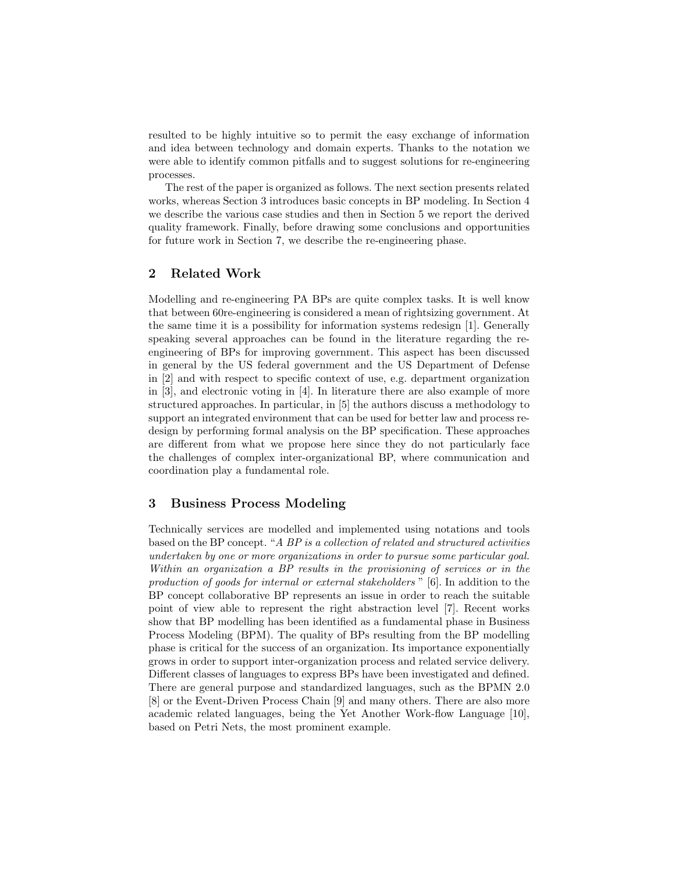resulted to be highly intuitive so to permit the easy exchange of information and idea between technology and domain experts. Thanks to the notation we were able to identify common pitfalls and to suggest solutions for re-engineering processes.

The rest of the paper is organized as follows. The next section presents related works, whereas Section 3 introduces basic concepts in BP modeling. In Section 4 we describe the various case studies and then in Section 5 we report the derived quality framework. Finally, before drawing some conclusions and opportunities for future work in Section 7, we describe the re-engineering phase.

## 2 Related Work

Modelling and re-engineering PA BPs are quite complex tasks. It is well know that between 60re-engineering is considered a mean of rightsizing government. At the same time it is a possibility for information systems redesign [1]. Generally speaking several approaches can be found in the literature regarding the reengineering of BPs for improving government. This aspect has been discussed in general by the US federal government and the US Department of Defense in [2] and with respect to specific context of use, e.g. department organization in [3], and electronic voting in [4]. In literature there are also example of more structured approaches. In particular, in [5] the authors discuss a methodology to support an integrated environment that can be used for better law and process redesign by performing formal analysis on the BP specification. These approaches are different from what we propose here since they do not particularly face the challenges of complex inter-organizational BP, where communication and coordination play a fundamental role.

## 3 Business Process Modeling

Technically services are modelled and implemented using notations and tools based on the BP concept. "A BP is a collection of related and structured activities undertaken by one or more organizations in order to pursue some particular goal. Within an organization a BP results in the provisioning of services or in the production of goods for internal or external stakeholders " [6]. In addition to the BP concept collaborative BP represents an issue in order to reach the suitable point of view able to represent the right abstraction level [7]. Recent works show that BP modelling has been identified as a fundamental phase in Business Process Modeling (BPM). The quality of BPs resulting from the BP modelling phase is critical for the success of an organization. Its importance exponentially grows in order to support inter-organization process and related service delivery. Different classes of languages to express BPs have been investigated and defined. There are general purpose and standardized languages, such as the BPMN 2.0 [8] or the Event-Driven Process Chain [9] and many others. There are also more academic related languages, being the Yet Another Work-flow Language [10], based on Petri Nets, the most prominent example.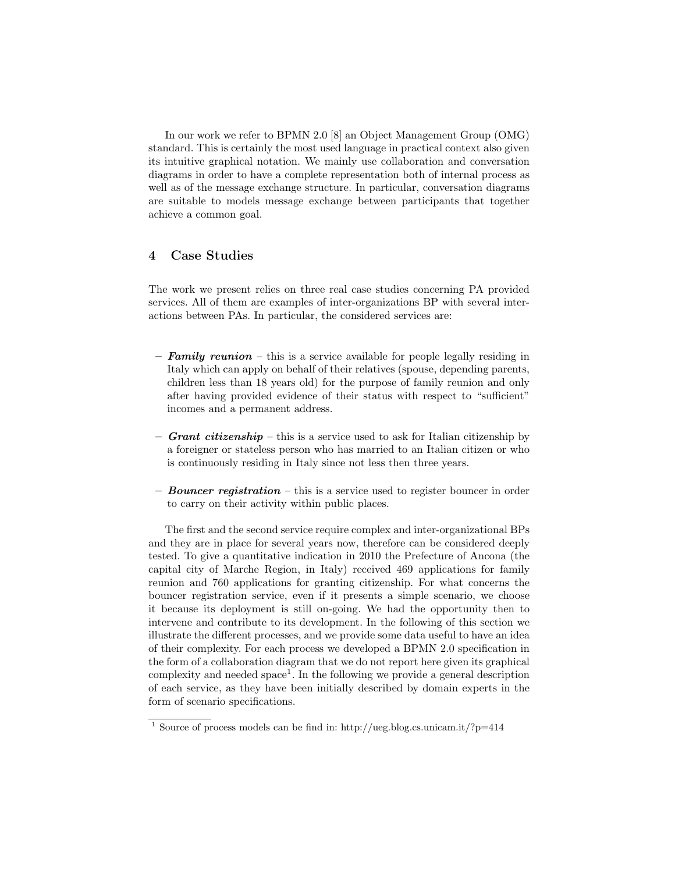In our work we refer to BPMN 2.0 [8] an Object Management Group (OMG) standard. This is certainly the most used language in practical context also given its intuitive graphical notation. We mainly use collaboration and conversation diagrams in order to have a complete representation both of internal process as well as of the message exchange structure. In particular, conversation diagrams are suitable to models message exchange between participants that together achieve a common goal.

## 4 Case Studies

The work we present relies on three real case studies concerning PA provided services. All of them are examples of inter-organizations BP with several interactions between PAs. In particular, the considered services are:

- **Family reunion** this is a service available for people legally residing in Italy which can apply on behalf of their relatives (spouse, depending parents, children less than 18 years old) for the purpose of family reunion and only after having provided evidence of their status with respect to "sufficient" incomes and a permanent address.
- **Grant citizenship** this is a service used to ask for Italian citizenship by a foreigner or stateless person who has married to an Italian citizen or who is continuously residing in Italy since not less then three years.
- **Bouncer registration** this is a service used to register bouncer in order to carry on their activity within public places.

The first and the second service require complex and inter-organizational BPs and they are in place for several years now, therefore can be considered deeply tested. To give a quantitative indication in 2010 the Prefecture of Ancona (the capital city of Marche Region, in Italy) received 469 applications for family reunion and 760 applications for granting citizenship. For what concerns the bouncer registration service, even if it presents a simple scenario, we choose it because its deployment is still on-going. We had the opportunity then to intervene and contribute to its development. In the following of this section we illustrate the different processes, and we provide some data useful to have an idea of their complexity. For each process we developed a BPMN 2.0 specification in the form of a collaboration diagram that we do not report here given its graphical complexity and needed space<sup>1</sup>. In the following we provide a general description of each service, as they have been initially described by domain experts in the form of scenario specifications.

<sup>&</sup>lt;sup>1</sup> Source of process models can be find in: http://ueg.blog.cs.unicam.it/?p=414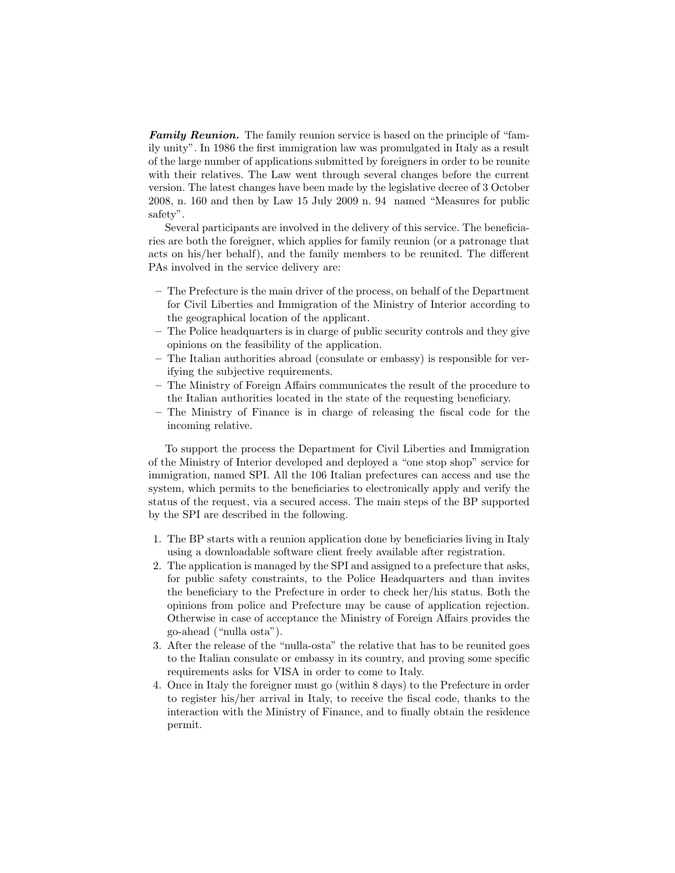**Family Reunion.** The family reunion service is based on the principle of "family unity". In 1986 the first immigration law was promulgated in Italy as a result of the large number of applications submitted by foreigners in order to be reunite with their relatives. The Law went through several changes before the current version. The latest changes have been made by the legislative decree of 3 October 2008, n. 160 and then by Law 15 July 2009 n. 94 named "Measures for public safety".

Several participants are involved in the delivery of this service. The beneficiaries are both the foreigner, which applies for family reunion (or a patronage that acts on his/her behalf), and the family members to be reunited. The different PAs involved in the service delivery are:

- The Prefecture is the main driver of the process, on behalf of the Department for Civil Liberties and Immigration of the Ministry of Interior according to the geographical location of the applicant.
- The Police headquarters is in charge of public security controls and they give opinions on the feasibility of the application.
- The Italian authorities abroad (consulate or embassy) is responsible for verifying the subjective requirements.
- The Ministry of Foreign Affairs communicates the result of the procedure to the Italian authorities located in the state of the requesting beneficiary.
- The Ministry of Finance is in charge of releasing the fiscal code for the incoming relative.

To support the process the Department for Civil Liberties and Immigration of the Ministry of Interior developed and deployed a "one stop shop" service for immigration, named SPI. All the 106 Italian prefectures can access and use the system, which permits to the beneficiaries to electronically apply and verify the status of the request, via a secured access. The main steps of the BP supported by the SPI are described in the following.

- 1. The BP starts with a reunion application done by beneficiaries living in Italy using a downloadable software client freely available after registration.
- 2. The application is managed by the SPI and assigned to a prefecture that asks, for public safety constraints, to the Police Headquarters and than invites the beneficiary to the Prefecture in order to check her/his status. Both the opinions from police and Prefecture may be cause of application rejection. Otherwise in case of acceptance the Ministry of Foreign Affairs provides the go-ahead ("nulla osta").
- 3. After the release of the "nulla-osta" the relative that has to be reunited goes to the Italian consulate or embassy in its country, and proving some specific requirements asks for VISA in order to come to Italy.
- 4. Once in Italy the foreigner must go (within 8 days) to the Prefecture in order to register his/her arrival in Italy, to receive the fiscal code, thanks to the interaction with the Ministry of Finance, and to finally obtain the residence permit.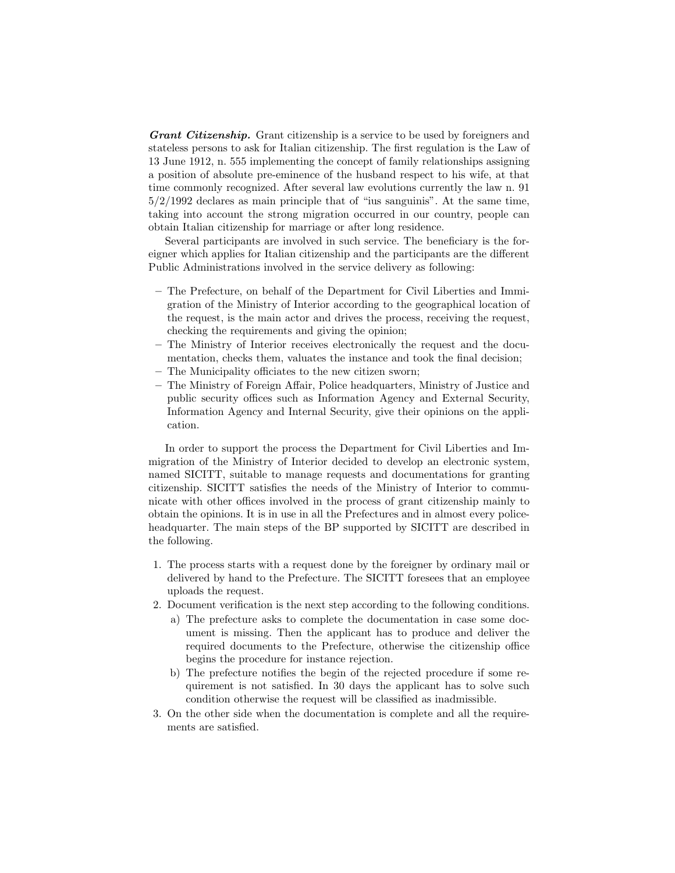**Grant Citizenship.** Grant citizenship is a service to be used by foreigners and stateless persons to ask for Italian citizenship. The first regulation is the Law of 13 June 1912, n. 555 implementing the concept of family relationships assigning a position of absolute pre-eminence of the husband respect to his wife, at that time commonly recognized. After several law evolutions currently the law n. 91 5/2/1992 declares as main principle that of "ius sanguinis". At the same time, taking into account the strong migration occurred in our country, people can obtain Italian citizenship for marriage or after long residence.

Several participants are involved in such service. The beneficiary is the foreigner which applies for Italian citizenship and the participants are the different Public Administrations involved in the service delivery as following:

- The Prefecture, on behalf of the Department for Civil Liberties and Immigration of the Ministry of Interior according to the geographical location of the request, is the main actor and drives the process, receiving the request, checking the requirements and giving the opinion;
- The Ministry of Interior receives electronically the request and the documentation, checks them, valuates the instance and took the final decision;
- The Municipality officiates to the new citizen sworn;
- The Ministry of Foreign Affair, Police headquarters, Ministry of Justice and public security offices such as Information Agency and External Security, Information Agency and Internal Security, give their opinions on the application.

In order to support the process the Department for Civil Liberties and Immigration of the Ministry of Interior decided to develop an electronic system, named SICITT, suitable to manage requests and documentations for granting citizenship. SICITT satisfies the needs of the Ministry of Interior to communicate with other offices involved in the process of grant citizenship mainly to obtain the opinions. It is in use in all the Prefectures and in almost every policeheadquarter. The main steps of the BP supported by SICITT are described in the following.

- 1. The process starts with a request done by the foreigner by ordinary mail or delivered by hand to the Prefecture. The SICITT foresees that an employee uploads the request.
- 2. Document verification is the next step according to the following conditions.
	- a) The prefecture asks to complete the documentation in case some document is missing. Then the applicant has to produce and deliver the required documents to the Prefecture, otherwise the citizenship office begins the procedure for instance rejection.
	- b) The prefecture notifies the begin of the rejected procedure if some requirement is not satisfied. In 30 days the applicant has to solve such condition otherwise the request will be classified as inadmissible.
- 3. On the other side when the documentation is complete and all the requirements are satisfied.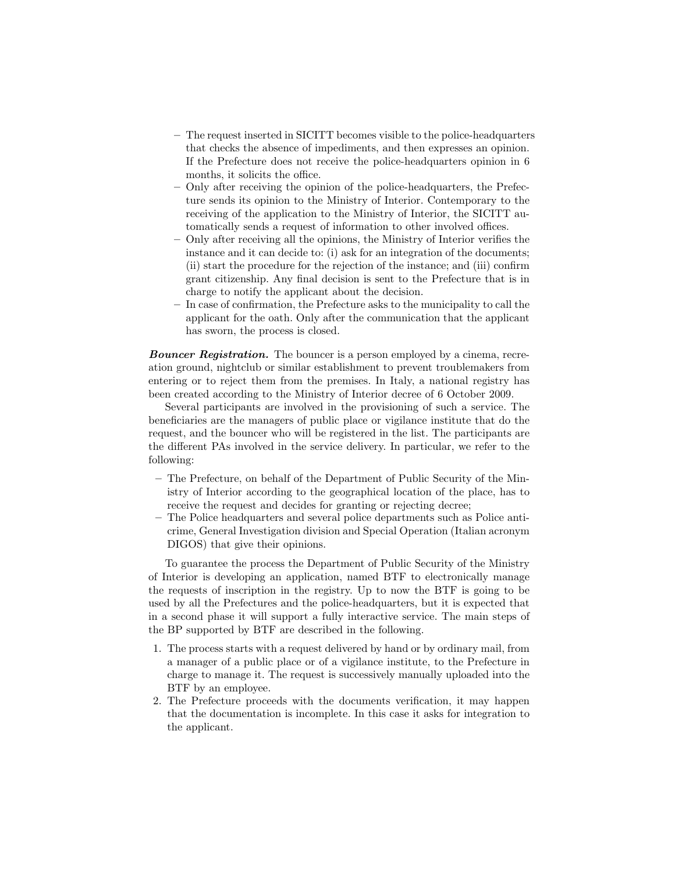- The request inserted in SICITT becomes visible to the police-headquarters that checks the absence of impediments, and then expresses an opinion. If the Prefecture does not receive the police-headquarters opinion in 6 months, it solicits the office.
- Only after receiving the opinion of the police-headquarters, the Prefecture sends its opinion to the Ministry of Interior. Contemporary to the receiving of the application to the Ministry of Interior, the SICITT automatically sends a request of information to other involved offices.
- Only after receiving all the opinions, the Ministry of Interior verifies the instance and it can decide to: (i) ask for an integration of the documents; (ii) start the procedure for the rejection of the instance; and (iii) confirm grant citizenship. Any final decision is sent to the Prefecture that is in charge to notify the applicant about the decision.
- In case of confirmation, the Prefecture asks to the municipality to call the applicant for the oath. Only after the communication that the applicant has sworn, the process is closed.

**Bouncer Registration.** The bouncer is a person employed by a cinema, recreation ground, nightclub or similar establishment to prevent troublemakers from entering or to reject them from the premises. In Italy, a national registry has been created according to the Ministry of Interior decree of 6 October 2009.

Several participants are involved in the provisioning of such a service. The beneficiaries are the managers of public place or vigilance institute that do the request, and the bouncer who will be registered in the list. The participants are the different PAs involved in the service delivery. In particular, we refer to the following:

- The Prefecture, on behalf of the Department of Public Security of the Ministry of Interior according to the geographical location of the place, has to receive the request and decides for granting or rejecting decree;
- The Police headquarters and several police departments such as Police anticrime, General Investigation division and Special Operation (Italian acronym DIGOS) that give their opinions.

To guarantee the process the Department of Public Security of the Ministry of Interior is developing an application, named BTF to electronically manage the requests of inscription in the registry. Up to now the BTF is going to be used by all the Prefectures and the police-headquarters, but it is expected that in a second phase it will support a fully interactive service. The main steps of the BP supported by BTF are described in the following.

- 1. The process starts with a request delivered by hand or by ordinary mail, from a manager of a public place or of a vigilance institute, to the Prefecture in charge to manage it. The request is successively manually uploaded into the BTF by an employee.
- 2. The Prefecture proceeds with the documents verification, it may happen that the documentation is incomplete. In this case it asks for integration to the applicant.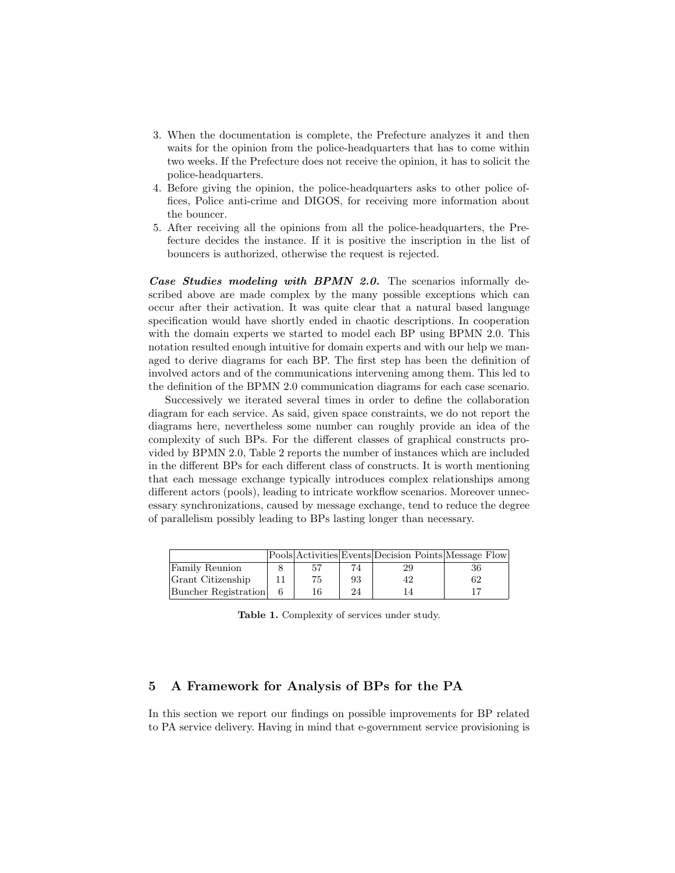- 3. When the documentation is complete, the Prefecture analyzes it and then waits for the opinion from the police-headquarters that has to come within two weeks. If the Prefecture does not receive the opinion, it has to solicit the police-headquarters.
- 4. Before giving the opinion, the police-headquarters asks to other police offices, Police anti-crime and DIGOS, for receiving more information about the bouncer.
- 5. After receiving all the opinions from all the police-headquarters, the Prefecture decides the instance. If it is positive the inscription in the list of bouncers is authorized, otherwise the request is rejected.

Case Studies modeling with BPMN 2.0. The scenarios informally described above are made complex by the many possible exceptions which can occur after their activation. It was quite clear that a natural based language specification would have shortly ended in chaotic descriptions. In cooperation with the domain experts we started to model each BP using BPMN 2.0. This notation resulted enough intuitive for domain experts and with our help we managed to derive diagrams for each BP. The first step has been the definition of involved actors and of the communications intervening among them. This led to the definition of the BPMN 2.0 communication diagrams for each case scenario.

Successively we iterated several times in order to define the collaboration diagram for each service. As said, given space constraints, we do not report the diagrams here, nevertheless some number can roughly provide an idea of the complexity of such BPs. For the different classes of graphical constructs provided by BPMN 2.0, Table 2 reports the number of instances which are included in the different BPs for each different class of constructs. It is worth mentioning that each message exchange typically introduces complex relationships among different actors (pools), leading to intricate workflow scenarios. Moreover unnecessary synchronizations, caused by message exchange, tend to reduce the degree of parallelism possibly leading to BPs lasting longer than necessary.

|                      |    |    | Pools Activities Events Decision Points Message Flow |    |
|----------------------|----|----|------------------------------------------------------|----|
| Family Reunion       |    | 74 | 29                                                   | 36 |
| Grant Citizenship    | 75 | 93 |                                                      | 62 |
| Buncher Registration | 16 | 24 |                                                      |    |

Table 1. Complexity of services under study.

## 5 A Framework for Analysis of BPs for the PA

In this section we report our findings on possible improvements for BP related to PA service delivery. Having in mind that e-government service provisioning is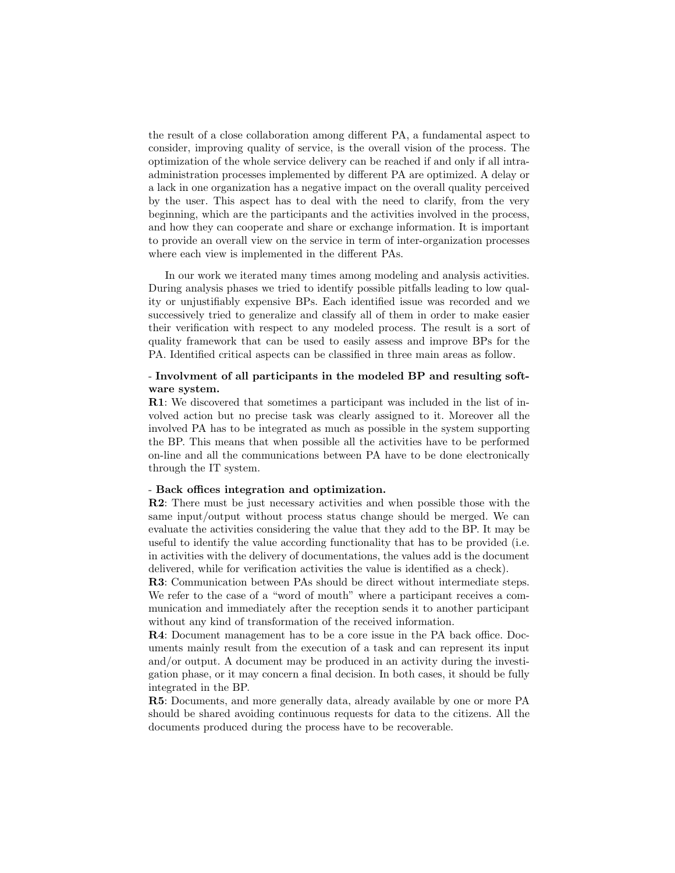the result of a close collaboration among different PA, a fundamental aspect to consider, improving quality of service, is the overall vision of the process. The optimization of the whole service delivery can be reached if and only if all intraadministration processes implemented by different PA are optimized. A delay or a lack in one organization has a negative impact on the overall quality perceived by the user. This aspect has to deal with the need to clarify, from the very beginning, which are the participants and the activities involved in the process, and how they can cooperate and share or exchange information. It is important to provide an overall view on the service in term of inter-organization processes where each view is implemented in the different PAs.

In our work we iterated many times among modeling and analysis activities. During analysis phases we tried to identify possible pitfalls leading to low quality or unjustifiably expensive BPs. Each identified issue was recorded and we successively tried to generalize and classify all of them in order to make easier their verification with respect to any modeled process. The result is a sort of quality framework that can be used to easily assess and improve BPs for the PA. Identified critical aspects can be classified in three main areas as follow.

## - Involvment of all participants in the modeled BP and resulting software system.

R1: We discovered that sometimes a participant was included in the list of involved action but no precise task was clearly assigned to it. Moreover all the involved PA has to be integrated as much as possible in the system supporting the BP. This means that when possible all the activities have to be performed on-line and all the communications between PA have to be done electronically through the IT system.

#### - Back offices integration and optimization.

R2: There must be just necessary activities and when possible those with the same input/output without process status change should be merged. We can evaluate the activities considering the value that they add to the BP. It may be useful to identify the value according functionality that has to be provided (i.e. in activities with the delivery of documentations, the values add is the document delivered, while for verification activities the value is identified as a check).

R3: Communication between PAs should be direct without intermediate steps. We refer to the case of a "word of mouth" where a participant receives a communication and immediately after the reception sends it to another participant without any kind of transformation of the received information.

R4: Document management has to be a core issue in the PA back office. Documents mainly result from the execution of a task and can represent its input and/or output. A document may be produced in an activity during the investigation phase, or it may concern a final decision. In both cases, it should be fully integrated in the BP.

R5: Documents, and more generally data, already available by one or more PA should be shared avoiding continuous requests for data to the citizens. All the documents produced during the process have to be recoverable.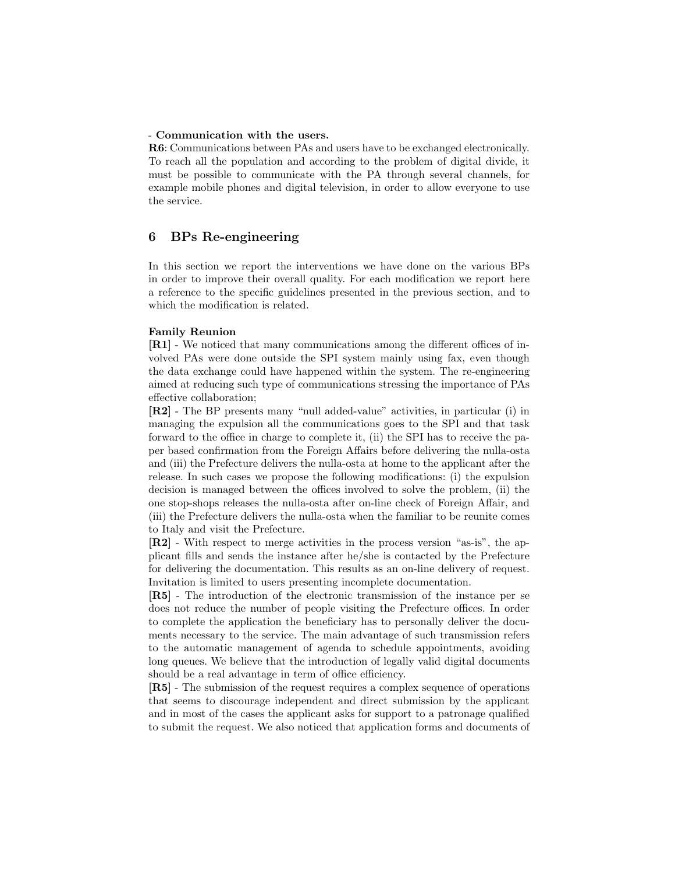#### - Communication with the users.

R6: Communications between PAs and users have to be exchanged electronically. To reach all the population and according to the problem of digital divide, it must be possible to communicate with the PA through several channels, for example mobile phones and digital television, in order to allow everyone to use the service.

## 6 BPs Re-engineering

In this section we report the interventions we have done on the various BPs in order to improve their overall quality. For each modification we report here a reference to the specific guidelines presented in the previous section, and to which the modification is related.

#### Family Reunion

[R1] - We noticed that many communications among the different offices of involved PAs were done outside the SPI system mainly using fax, even though the data exchange could have happened within the system. The re-engineering aimed at reducing such type of communications stressing the importance of PAs effective collaboration;

[R2] - The BP presents many "null added-value" activities, in particular (i) in managing the expulsion all the communications goes to the SPI and that task forward to the office in charge to complete it, (ii) the SPI has to receive the paper based confirmation from the Foreign Affairs before delivering the nulla-osta and (iii) the Prefecture delivers the nulla-osta at home to the applicant after the release. In such cases we propose the following modifications: (i) the expulsion decision is managed between the offices involved to solve the problem, (ii) the one stop-shops releases the nulla-osta after on-line check of Foreign Affair, and (iii) the Prefecture delivers the nulla-osta when the familiar to be reunite comes to Italy and visit the Prefecture.

[R2] - With respect to merge activities in the process version "as-is", the applicant fills and sends the instance after he/she is contacted by the Prefecture for delivering the documentation. This results as an on-line delivery of request. Invitation is limited to users presenting incomplete documentation.

[R5] - The introduction of the electronic transmission of the instance per se does not reduce the number of people visiting the Prefecture offices. In order to complete the application the beneficiary has to personally deliver the documents necessary to the service. The main advantage of such transmission refers to the automatic management of agenda to schedule appointments, avoiding long queues. We believe that the introduction of legally valid digital documents should be a real advantage in term of office efficiency.

[R5] - The submission of the request requires a complex sequence of operations that seems to discourage independent and direct submission by the applicant and in most of the cases the applicant asks for support to a patronage qualified to submit the request. We also noticed that application forms and documents of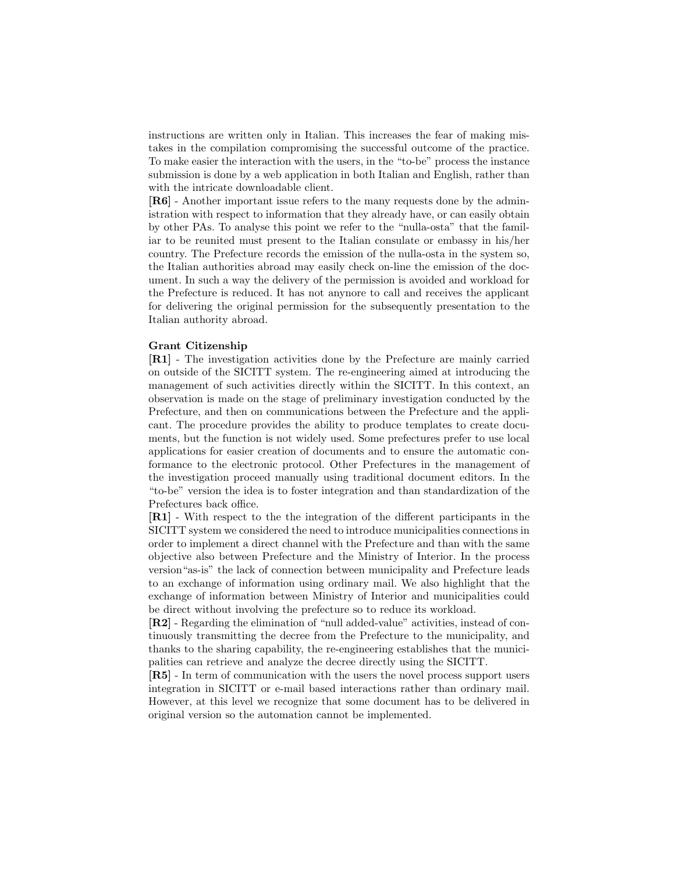instructions are written only in Italian. This increases the fear of making mistakes in the compilation compromising the successful outcome of the practice. To make easier the interaction with the users, in the "to-be" process the instance submission is done by a web application in both Italian and English, rather than with the intricate downloadable client.

[R6] - Another important issue refers to the many requests done by the administration with respect to information that they already have, or can easily obtain by other PAs. To analyse this point we refer to the "nulla-osta" that the familiar to be reunited must present to the Italian consulate or embassy in his/her country. The Prefecture records the emission of the nulla-osta in the system so, the Italian authorities abroad may easily check on-line the emission of the document. In such a way the delivery of the permission is avoided and workload for the Prefecture is reduced. It has not anynore to call and receives the applicant for delivering the original permission for the subsequently presentation to the Italian authority abroad.

#### Grant Citizenship

[R1] - The investigation activities done by the Prefecture are mainly carried on outside of the SICITT system. The re-engineering aimed at introducing the management of such activities directly within the SICITT. In this context, an observation is made on the stage of preliminary investigation conducted by the Prefecture, and then on communications between the Prefecture and the applicant. The procedure provides the ability to produce templates to create documents, but the function is not widely used. Some prefectures prefer to use local applications for easier creation of documents and to ensure the automatic conformance to the electronic protocol. Other Prefectures in the management of the investigation proceed manually using traditional document editors. In the "to-be" version the idea is to foster integration and than standardization of the Prefectures back office.

[R1] - With respect to the the integration of the different participants in the SICITT system we considered the need to introduce municipalities connections in order to implement a direct channel with the Prefecture and than with the same objective also between Prefecture and the Ministry of Interior. In the process version"as-is" the lack of connection between municipality and Prefecture leads to an exchange of information using ordinary mail. We also highlight that the exchange of information between Ministry of Interior and municipalities could be direct without involving the prefecture so to reduce its workload.

[R2] - Regarding the elimination of "null added-value" activities, instead of continuously transmitting the decree from the Prefecture to the municipality, and thanks to the sharing capability, the re-engineering establishes that the municipalities can retrieve and analyze the decree directly using the SICITT.

[R5] - In term of communication with the users the novel process support users integration in SICITT or e-mail based interactions rather than ordinary mail. However, at this level we recognize that some document has to be delivered in original version so the automation cannot be implemented.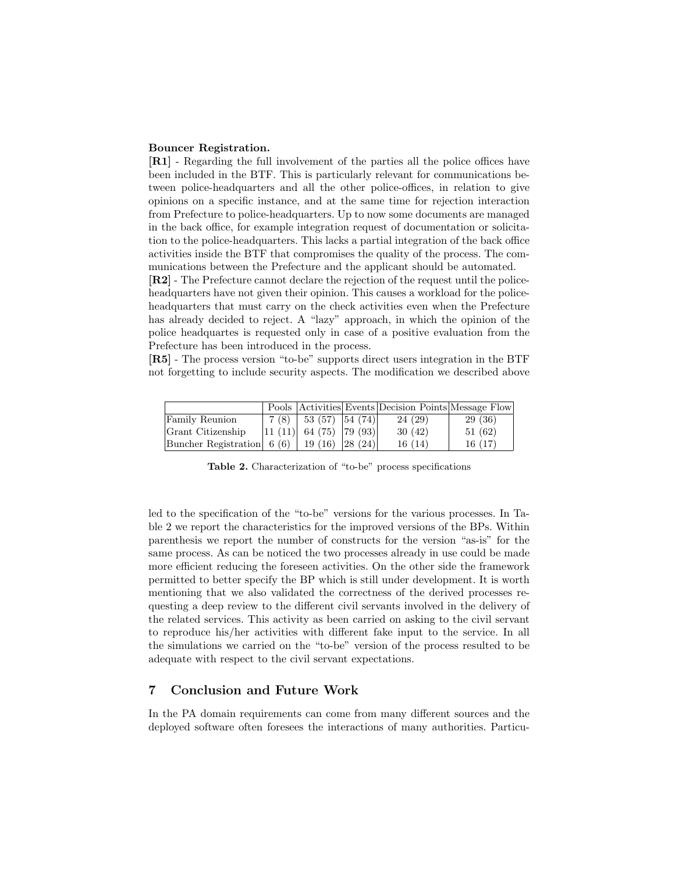#### Bouncer Registration.

[R1] - Regarding the full involvement of the parties all the police offices have been included in the BTF. This is particularly relevant for communications between police-headquarters and all the other police-offices, in relation to give opinions on a specific instance, and at the same time for rejection interaction from Prefecture to police-headquarters. Up to now some documents are managed in the back office, for example integration request of documentation or solicitation to the police-headquarters. This lacks a partial integration of the back office activities inside the BTF that compromises the quality of the process. The communications between the Prefecture and the applicant should be automated.

[R2] - The Prefecture cannot declare the rejection of the request until the policeheadquarters have not given their opinion. This causes a workload for the policeheadquarters that must carry on the check activities even when the Prefecture has already decided to reject. A "lazy" approach, in which the opinion of the police headquartes is requested only in case of a positive evaluation from the Prefecture has been introduced in the process.

[R5] - The process version "to-be" supports direct users integration in the BTF not forgetting to include security aspects. The modification we described above

|                             |                                       |        | Pools Activities Events Decision Points Message Flow |        |
|-----------------------------|---------------------------------------|--------|------------------------------------------------------|--------|
| Family Reunion              | $7(8)$   53 (57)   54 (74)            |        | 24(29)                                               | 29(36) |
| Grant Citizenship           | $ 11 \t(11)  \t64 \t(75)  79 \t(93) $ |        | 30 (42)                                              | 51(62) |
| Buncher Registration  6 (6) | 19(16)                                | 28(24) | 16(14)                                               | 16(17) |

Table 2. Characterization of "to-be" process specifications

led to the specification of the "to-be" versions for the various processes. In Table 2 we report the characteristics for the improved versions of the BPs. Within parenthesis we report the number of constructs for the version "as-is" for the same process. As can be noticed the two processes already in use could be made more efficient reducing the foreseen activities. On the other side the framework permitted to better specify the BP which is still under development. It is worth mentioning that we also validated the correctness of the derived processes requesting a deep review to the different civil servants involved in the delivery of the related services. This activity as been carried on asking to the civil servant to reproduce his/her activities with different fake input to the service. In all the simulations we carried on the "to-be" version of the process resulted to be adequate with respect to the civil servant expectations.

# 7 Conclusion and Future Work

In the PA domain requirements can come from many different sources and the deployed software often foresees the interactions of many authorities. Particu